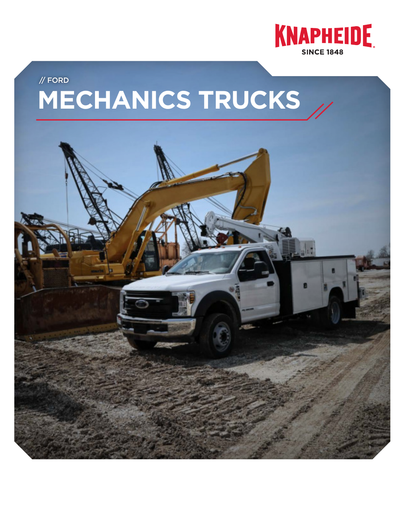

# **MECHANICS TRUCKS** // FORD

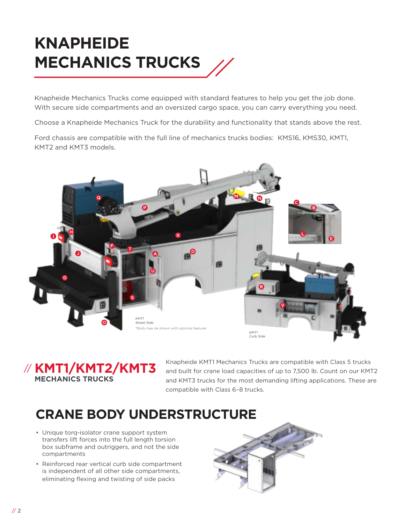# **KNAPHEIDE MECHANICS TRUCKS**

Knapheide Mechanics Trucks come equipped with standard features to help you get the job done. With secure side compartments and an oversized cargo space, you can carry everything you need.

Choose a Knapheide Mechanics Truck for the durability and functionality that stands above the rest.

Ford chassis are compatible with the full line of mechanics trucks bodies: KMS16, KMS30, KMT1, KMT2 and KMT3 models.





Knapheide KMT1 Mechanics Trucks are compatible with Class 5 trucks and built for crane load capacities of up to 7,500 lb. Count on our KMT2 and KMT3 trucks for the most demanding lifting applications. These are compatible with Class 6–8 trucks.

### **CRANE BODY UNDERSTRUCTURE**

- Unique torq-isolator crane support system transfers lift forces into the full length torsion box subframe and outriggers, and not the side compartments
- Reinforced rear vertical curb side compartment is independent of all other side compartments, eliminating flexing and twisting of side packs

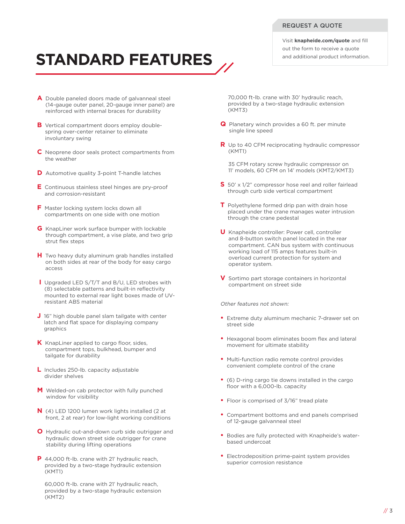Visit **knapheide.com/quote** and fill out the form to receive a quote and additional product information.

# **STANDARD FEATURES**

- **A** Double paneled doors made of galvanneal steel (14-gauge outer panel, 20-gauge inner panel) are reinforced with internal braces for durability
- **B** Vertical compartment doors employ doublespring over-center retainer to eliminate involuntary swing
- **C** Neoprene door seals protect compartments from the weather
- **D** Automotive quality 3-point T-handle latches
- **E** Continuous stainless steel hinges are pry-proof and corrosion-resistant
- **F** Master locking system locks down all compartments on one side with one motion
- **G** KnapLiner work surface bumper with lockable through compartment, a vise plate, and two grip strut flex steps
- **H** Two heavy duty aluminum grab handles installed on both sides at rear of the body for easy cargo access
- **I** Upgraded LED S/T/T and B/U, LED strobes with (8) selectable patterns and built-in reflectivity mounted to external rear light boxes made of UVresistant ABS material
- **J** 16" high double panel slam tailgate with center latch and flat space for displaying company graphics
- **K** KnapLiner applied to cargo floor, sides, compartment tops, bulkhead, bumper and tailgate for durability
- **L** Includes 250-lb. capacity adjustable divider shelves
- **M** Welded-on cab protector with fully punched window for visibility
- **N** (4) LED 1200 lumen work lights installed (2 at front, 2 at rear) for low-light working conditions
- **O** Hydraulic out-and-down curb side outrigger and hydraulic down street side outrigger for crane stability during lifting operations
- **P** 44,000 ft-lb. crane with 21' hydraulic reach, provided by a two-stage hydraulic extension (KMT1)

60,000 ft-lb. crane with 21' hydraulic reach, provided by a two-stage hydraulic extension (KMT2)

70,000 ft-lb. crane with 30' hydraulic reach, provided by a two-stage hydraulic extension (KMT3)

- **Q** Planetary winch provides a 60 ft. per minute single line speed
- **R** Up to 40 CFM reciprocating hydraulic compressor (KMT1)
	- 35 CFM rotary screw hydraulic compressor on 11' models, 60 CFM on 14' models (KMT2/KMT3)
- **S** 50' x 1/2" compressor hose reel and roller fairlead through curb side vertical compartment
- **T** Polyethylene formed drip pan with drain hose placed under the crane manages water intrusion through the crane pedestal
- **U** Knapheide controller: Power cell, controller and 8-button switch panel located in the rear compartment. CAN bus system with continuous working load of 115 amps features built-in overload current protection for system and operator system.
- **V** Sortimo part storage containers in horizontal compartment on street side

#### Other features not shown:

- **•** Extreme duty aluminum mechanic 7-drawer set on street side
- **•** Hexagonal boom eliminates boom flex and lateral movement for ultimate stability
- **•** Multi-function radio remote control provides convenient complete control of the crane
- **•** (6) D-ring cargo tie downs installed in the cargo floor with a 6,000-lb. capacity
- **•** Floor is comprised of 3/16" tread plate
- **•** Compartment bottoms and end panels comprised of 12-gauge galvanneal steel
- **•** Bodies are fully protected with Knapheide's waterbased undercoat
- **•** Electrodeposition prime-paint system provides superior corrosion resistance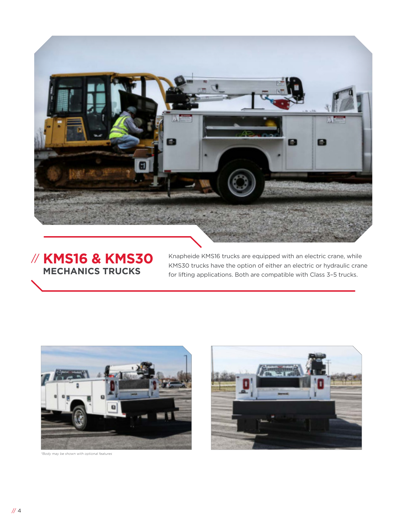

#### **KMS16 & KMS30**  // **MECHANICS TRUCKS**

Knapheide KMS16 trucks are equipped with an electric crane, while KMS30 trucks have the option of either an electric or hydraulic crane for lifting applications. Both are compatible with Class 3–5 trucks.



\*Body may be shown with optional features

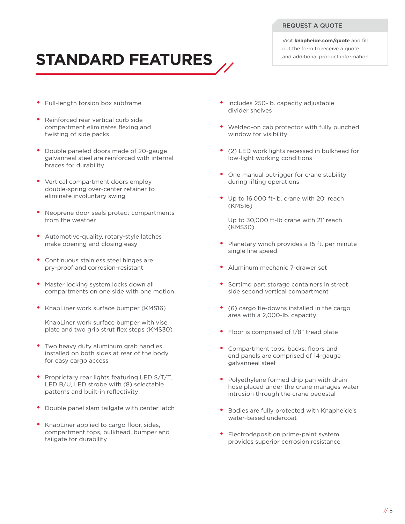#### REQUEST A QUOTE

Visit **knapheide.com/quote** and fill out the form to receive a quote and additional product information.

# **STANDARD FEATURES**

- Full-length torsion box subframe
- Reinforced rear vertical curb side compartment eliminates flexing and twisting of side packs
- Double paneled doors made of 20-gauge galvanneal steel are reinforced with internal braces for durability
- Vertical compartment doors employ double-spring over-center retainer to eliminate involuntary swing
- Neoprene door seals protect compartments from the weather
- Automotive-quality, rotary-style latches make opening and closing easy
- Continuous stainless steel hinges are pry-proof and corrosion-resistant
- Master locking system locks down all compartments on one side with one motion
- KnapLiner work surface bumper (KMS16)

KnapLiner work surface bumper with vise plate and two grip strut flex steps (KMS30)

- Two heavy duty aluminum grab handles installed on both sides at rear of the body for easy cargo access
- Proprietary rear lights featuring LED S/T/T, LED B/U, LED strobe with (8) selectable patterns and built-in reflectivity
- Double panel slam tailgate with center latch
- KnapLiner applied to cargo floor, sides, compartment tops, bulkhead, bumper and tailgate for durability
- Includes 250-lb. capacity adjustable divider shelves
- Welded-on cab protector with fully punched window for visibility
- (2) LED work lights recessed in bulkhead for low-light working conditions
- One manual outrigger for crane stability during lifting operations
- Up to 16,000 ft-lb. crane with 20' reach (KMS16)

Up to 30,000 ft-lb crane with 21' reach (KMS30)

- Planetary winch provides a 15 ft. per minute single line speed
- Aluminum mechanic 7-drawer set
- Sortimo part storage containers in street side second vertical compartment
- (6) cargo tie-downs installed in the cargo area with a 2,000-lb. capacity
- Floor is comprised of 1/8" tread plate
- Compartment tops, backs, floors and end panels are comprised of 14-gauge galvanneal steel
- Polyethylene formed drip pan with drain hose placed under the crane manages water intrusion through the crane pedestal
- Bodies are fully protected with Knapheide's water-based undercoat
- Electrodeposition prime-paint system provides superior corrosion resistance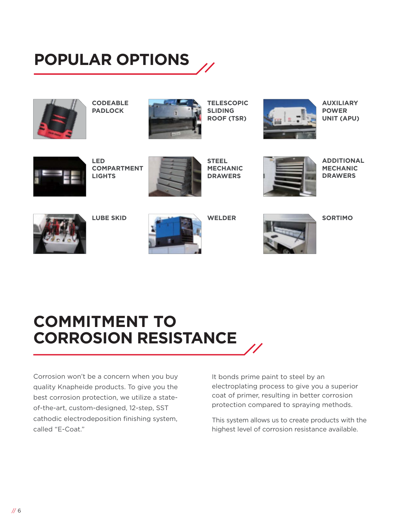## **POPULAR OPTIONS**



**CODEABLE PADLOCK**



**TELESCOPIC SLIDING ROOF (TSR)** 



**AUXILIARY POWER UNIT (APU)**



**LED COMPARTMENT LIGHTS**



**STEEL MECHANIC DRAWERS**



**ADDITIONAL MECHANIC DRAWERS**



**LUBE SKID**



**WELDER**



**SORTIMO**

## **COMMITMENT TO CORROSION RESISTANCE**

Corrosion won't be a concern when you buy quality Knapheide products. To give you the best corrosion protection, we utilize a stateof-the-art, custom-designed, 12-step, SST cathodic electrodeposition finishing system, called "E-Coat."

It bonds prime paint to steel by an electroplating process to give you a superior coat of primer, resulting in better corrosion protection compared to spraying methods.

This system allows us to create products with the highest level of corrosion resistance available.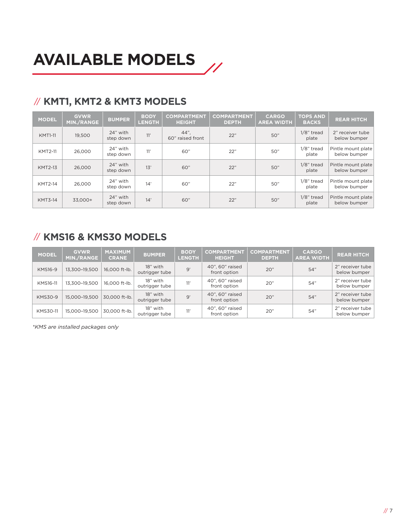#### // **KMT1, KMT2 & KMT3 MODELS**

| <b>MODEL</b>   | <b>GVWR</b><br><b>MIN./RANGE</b> | <b>BUMPER</b>         | <b>BODY</b><br><b>LENGTH</b> | <b>COMPARTMENT</b><br><b>HEIGHT</b> | <b>COMPARTMENT</b><br><b>DEPTH</b> | <b>CARGO</b><br><b>AREA WIDTH</b> | <b>TOPS AND</b><br><b>BACKS</b> | <b>REAR HITCH</b>                  |
|----------------|----------------------------------|-----------------------|------------------------------|-------------------------------------|------------------------------------|-----------------------------------|---------------------------------|------------------------------------|
| <b>KMT1-11</b> | 19.500                           | 24" with<br>step down | 11'                          | $44"$ .<br>60" raised front         | 22"                                | 50"                               | $1/8$ " tread<br>plate          | 2" receiver tube<br>below bumper   |
| <b>KMT2-11</b> | 26,000                           | 24" with<br>step down | 11'                          | 60"                                 | 22"                                | 50"                               | $1/8$ " tread<br>plate          | Pintle mount plate<br>below bumper |
| <b>KMT2-13</b> | 26,000                           | 24" with<br>step down | 13'                          | 60"                                 | 22"                                | 50"                               | $1/8$ " tread<br>plate          | Pintle mount plate<br>below bumper |
| <b>KMT2-14</b> | 26,000                           | 24" with<br>step down | 14'                          | 60"                                 | 22"                                | 50"                               | $1/8$ " tread<br>plate          | Pintle mount plate<br>below bumper |
| <b>KMT3-14</b> | 33,000+                          | 24" with<br>step down | 14'                          | 60"                                 | 22"                                | 50"                               | $1/8$ " tread<br>plate          | Pintle mount plate<br>below bumper |

#### // **KMS16 & KMS30 MODELS**

| <b>MODEL</b>    | <b>GVWR</b><br>MIN./RANGE | <b>MAXIMUM</b><br><b>CRANE</b> | <b>BUMPER</b>              | <b>BODY</b><br><b>LENGTH</b> | <b>COMPARTMENT</b><br><b>HEIGHT</b> | <b>COMPARTMENT</b><br><b>DEPTH</b> | <b>CARGO</b><br><b>AREA WIDTH</b> | <b>REAR HITCH</b>                |
|-----------------|---------------------------|--------------------------------|----------------------------|------------------------------|-------------------------------------|------------------------------------|-----------------------------------|----------------------------------|
| <b>KMS16-9</b>  | 13,300-19,500             | 16,000 ft-lb.                  | 18" with<br>outrigger tube | 9'                           | 40", 60" raised<br>front option     | 20"                                | 54"                               | 2" receiver tube<br>below bumper |
| KMS16-11        | 13,300-19,500             | 16.000 ft-lb.                  | 18" with<br>outrigger tube | 11'                          | 40", 60" raised<br>front option     | 20"                                | 54"                               | 2" receiver tube<br>below bumper |
| <b>KMS30-9</b>  | 15,000-19,500             | 30.000 ft-lb.                  | 18" with<br>outrigger tube | 9'                           | 40", 60" raised<br>front option     | 20"                                | 54"                               | 2" receiver tube<br>below bumper |
| <b>KMS30-11</b> | 15,000-19,500             | 30.000 ft-lb.                  | 18" with<br>outrigger tube | 11'                          | 40", 60" raised<br>front option     | 20"                                | 54"                               | 2" receiver tube<br>below bumper |

*\*KMS are installed packages only*